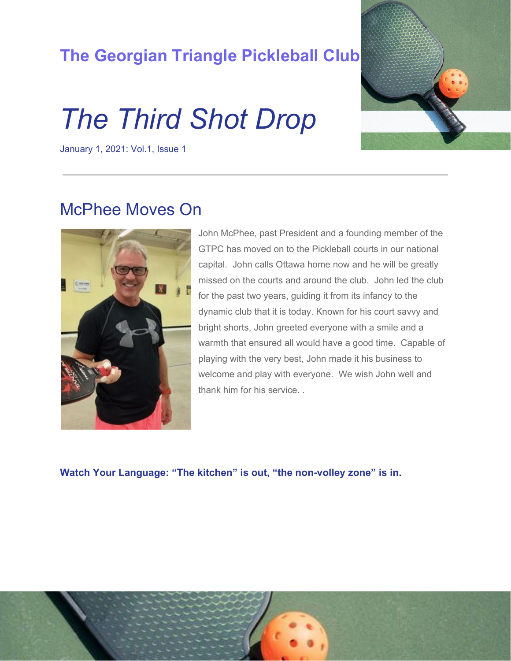### **The Georgian Triangle Pickleball Club**

# *The Third Shot Drop*

January 1, 2021: Vol.1, Issue 1



#### McPhee Moves On



John McPhee, past President and a founding member of the GTPC has moved on to the Pickleball courts in our national capital. John calls Ottawa home now and he will be greatly missed on the courts and around the club. John led the club for the past two years, guiding it from its infancy to the dynamic club that it is today. Known for his court savvy and bright shorts, John greeted everyone with a smile and a warmth that ensured all would have a good time. Capable of playing with the very best, John made it his business to welcome and play with everyone. We wish John well and thank him for his service. .

**Watch Your Language: "The kitchen" is out, "the non-volley zone" is in.**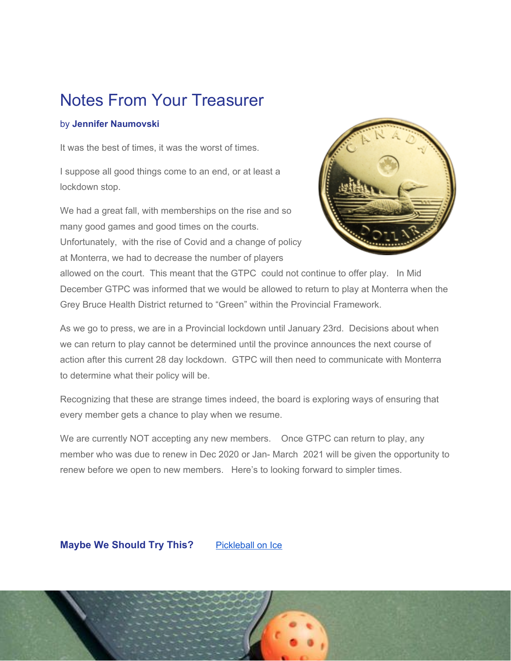## Notes From Your Treasurer

#### by **Jennifer Naumovski**

It was the best of times, it was the worst of times.

I suppose all good things come to an end, or at least a lockdown stop.

We had a great fall, with memberships on the rise and so many good games and good times on the courts. Unfortunately, with the rise of Covid and a change of policy at Monterra, we had to decrease the number of players



allowed on the court. This meant that the GTPC could not continue to offer play. In Mid December GTPC was informed that we would be allowed to return to play at Monterra when the Grey Bruce Health District returned to "Green" within the Provincial Framework.

As we go to press, we are in a Provincial lockdown until January 23rd. Decisions about when we can return to play cannot be determined until the province announces the next course of action after this current 28 day lockdown. GTPC will then need to communicate with Monterra to determine what their policy will be.

Recognizing that these are strange times indeed, the board is exploring ways of ensuring that every member gets a chance to play when we resume.

We are currently NOT accepting any new members. Once GTPC can return to play, any member who was due to renew in Dec 2020 or Jan- March 2021 will be given the opportunity to renew before we open to new members. Here's to looking forward to simpler times.

#### **Maybe We Should Try This?** [Pickleball](https://youtu.be/KyWMS-GlsCg) on Ice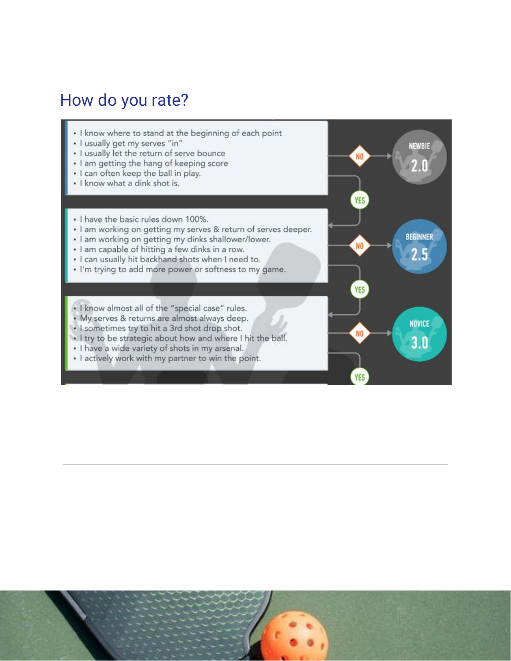### How do you rate?